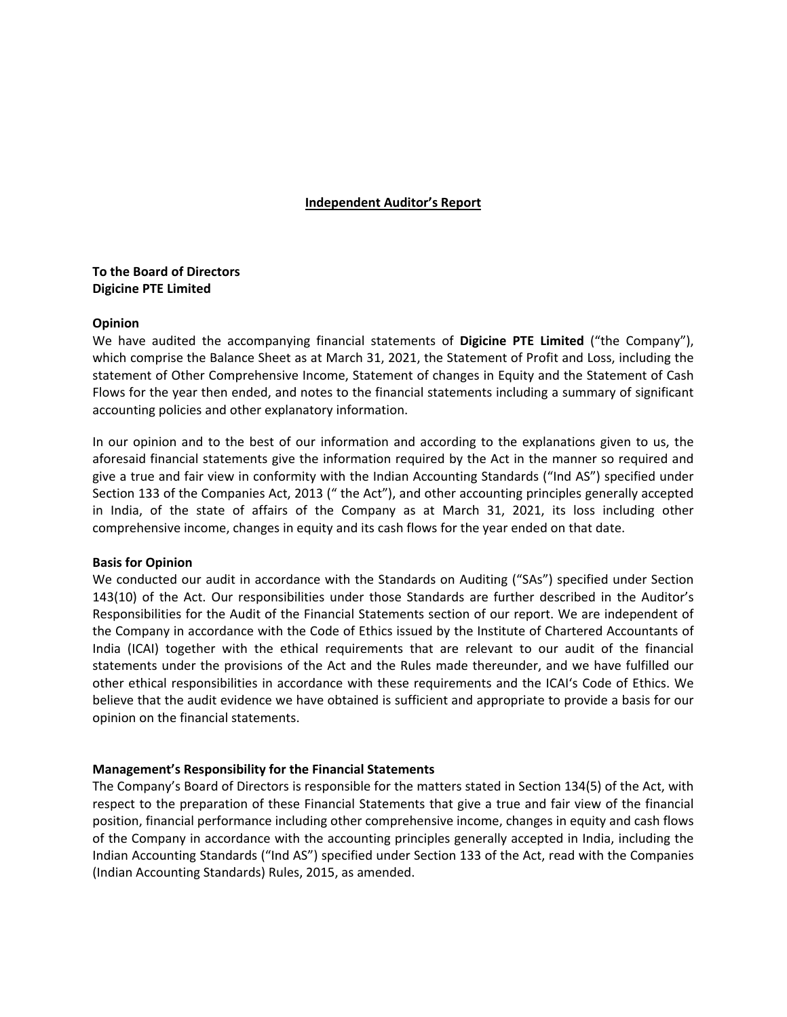# **Independent Auditor's Report**

# **To the Board of Directors Digicine PTE Limited**

# **Opinion**

We have audited the accompanying financial statements of **Digicine PTE Limited** ("the Company"), which comprise the Balance Sheet as at March 31, 2021, the Statement of Profit and Loss, including the statement of Other Comprehensive Income, Statement of changes in Equity and the Statement of Cash Flows for the year then ended, and notes to the financial statements including a summary of significant accounting policies and other explanatory information.

In our opinion and to the best of our information and according to the explanations given to us, the aforesaid financial statements give the information required by the Act in the manner so required and give a true and fair view in conformity with the Indian Accounting Standards ("Ind AS") specified under Section 133 of the Companies Act, 2013 (" the Act"), and other accounting principles generally accepted in India, of the state of affairs of the Company as at March 31, 2021, its loss including other comprehensive income, changes in equity and its cash flows for the year ended on that date.

# **Basis for Opinion**

We conducted our audit in accordance with the Standards on Auditing ("SAs") specified under Section 143(10) of the Act. Our responsibilities under those Standards are further described in the Auditor's Responsibilities for the Audit of the Financial Statements section of our report. We are independent of the Company in accordance with the Code of Ethics issued by the Institute of Chartered Accountants of India (ICAI) together with the ethical requirements that are relevant to our audit of the financial statements under the provisions of the Act and the Rules made thereunder, and we have fulfilled our other ethical responsibilities in accordance with these requirements and the ICAI's Code of Ethics. We believe that the audit evidence we have obtained is sufficient and appropriate to provide a basis for our opinion on the financial statements.

# **Management's Responsibility for the Financial Statements**

The Company's Board of Directors is responsible for the matters stated in Section 134(5) of the Act, with respect to the preparation of these Financial Statements that give a true and fair view of the financial position, financial performance including other comprehensive income, changes in equity and cash flows of the Company in accordance with the accounting principles generally accepted in India, including the Indian Accounting Standards ("Ind AS") specified under Section 133 of the Act, read with the Companies (Indian Accounting Standards) Rules, 2015, as amended.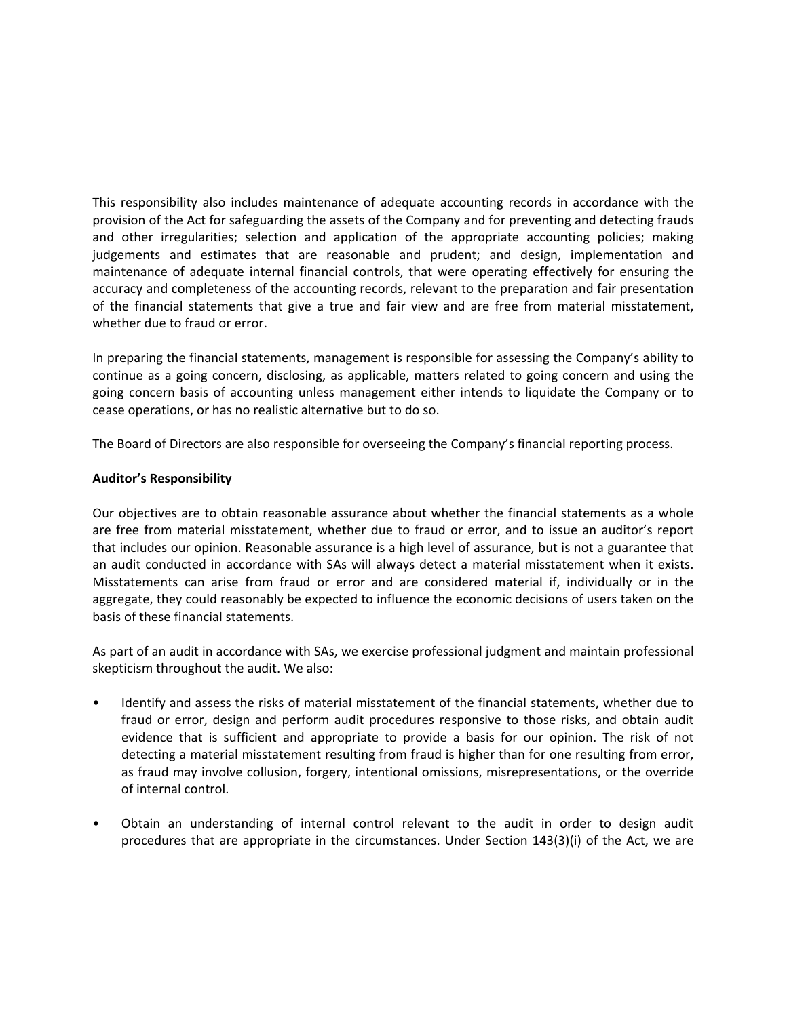This responsibility also includes maintenance of adequate accounting records in accordance with the provision of the Act for safeguarding the assets of the Company and for preventing and detecting frauds and other irregularities; selection and application of the appropriate accounting policies; making judgements and estimates that are reasonable and prudent; and design, implementation and maintenance of adequate internal financial controls, that were operating effectively for ensuring the accuracy and completeness of the accounting records, relevant to the preparation and fair presentation of the financial statements that give a true and fair view and are free from material misstatement, whether due to fraud or error.

In preparing the financial statements, management is responsible for assessing the Company's ability to continue as a going concern, disclosing, as applicable, matters related to going concern and using the going concern basis of accounting unless management either intends to liquidate the Company or to cease operations, or has no realistic alternative but to do so.

The Board of Directors are also responsible for overseeing the Company's financial reporting process.

# **Auditor's Responsibility**

Our objectives are to obtain reasonable assurance about whether the financial statements as a whole are free from material misstatement, whether due to fraud or error, and to issue an auditor's report that includes our opinion. Reasonable assurance is a high level of assurance, but is not a guarantee that an audit conducted in accordance with SAs will always detect a material misstatement when it exists. Misstatements can arise from fraud or error and are considered material if, individually or in the aggregate, they could reasonably be expected to influence the economic decisions of users taken on the basis of these financial statements.

As part of an audit in accordance with SAs, we exercise professional judgment and maintain professional skepticism throughout the audit. We also:

- Identify and assess the risks of material misstatement of the financial statements, whether due to fraud or error, design and perform audit procedures responsive to those risks, and obtain audit evidence that is sufficient and appropriate to provide a basis for our opinion. The risk of not detecting a material misstatement resulting from fraud is higher than for one resulting from error, as fraud may involve collusion, forgery, intentional omissions, misrepresentations, or the override of internal control.
- Obtain an understanding of internal control relevant to the audit in order to design audit procedures that are appropriate in the circumstances. Under Section 143(3)(i) of the Act, we are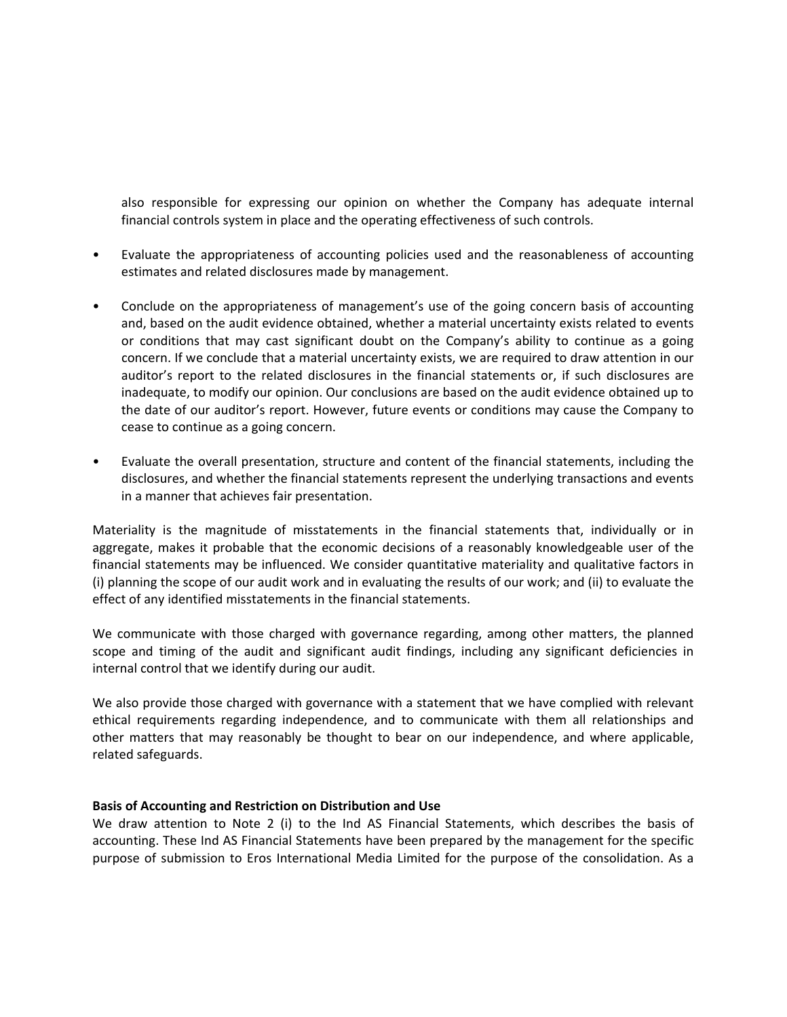also responsible for expressing our opinion on whether the Company has adequate internal financial controls system in place and the operating effectiveness of such controls.

- Evaluate the appropriateness of accounting policies used and the reasonableness of accounting estimates and related disclosures made by management.
- Conclude on the appropriateness of management's use of the going concern basis of accounting and, based on the audit evidence obtained, whether a material uncertainty exists related to events or conditions that may cast significant doubt on the Company's ability to continue as a going concern. If we conclude that a material uncertainty exists, we are required to draw attention in our auditor's report to the related disclosures in the financial statements or, if such disclosures are inadequate, to modify our opinion. Our conclusions are based on the audit evidence obtained up to the date of our auditor's report. However, future events or conditions may cause the Company to cease to continue as a going concern.
- Evaluate the overall presentation, structure and content of the financial statements, including the disclosures, and whether the financial statements represent the underlying transactions and events in a manner that achieves fair presentation.

Materiality is the magnitude of misstatements in the financial statements that, individually or in aggregate, makes it probable that the economic decisions of a reasonably knowledgeable user of the financial statements may be influenced. We consider quantitative materiality and qualitative factors in (i) planning the scope of our audit work and in evaluating the results of our work; and (ii) to evaluate the effect of any identified misstatements in the financial statements.

We communicate with those charged with governance regarding, among other matters, the planned scope and timing of the audit and significant audit findings, including any significant deficiencies in internal control that we identify during our audit.

We also provide those charged with governance with a statement that we have complied with relevant ethical requirements regarding independence, and to communicate with them all relationships and other matters that may reasonably be thought to bear on our independence, and where applicable, related safeguards.

# **Basis of Accounting and Restriction on Distribution and Use**

We draw attention to Note 2 (i) to the Ind AS Financial Statements, which describes the basis of accounting. These Ind AS Financial Statements have been prepared by the management for the specific purpose of submission to Eros International Media Limited for the purpose of the consolidation. As a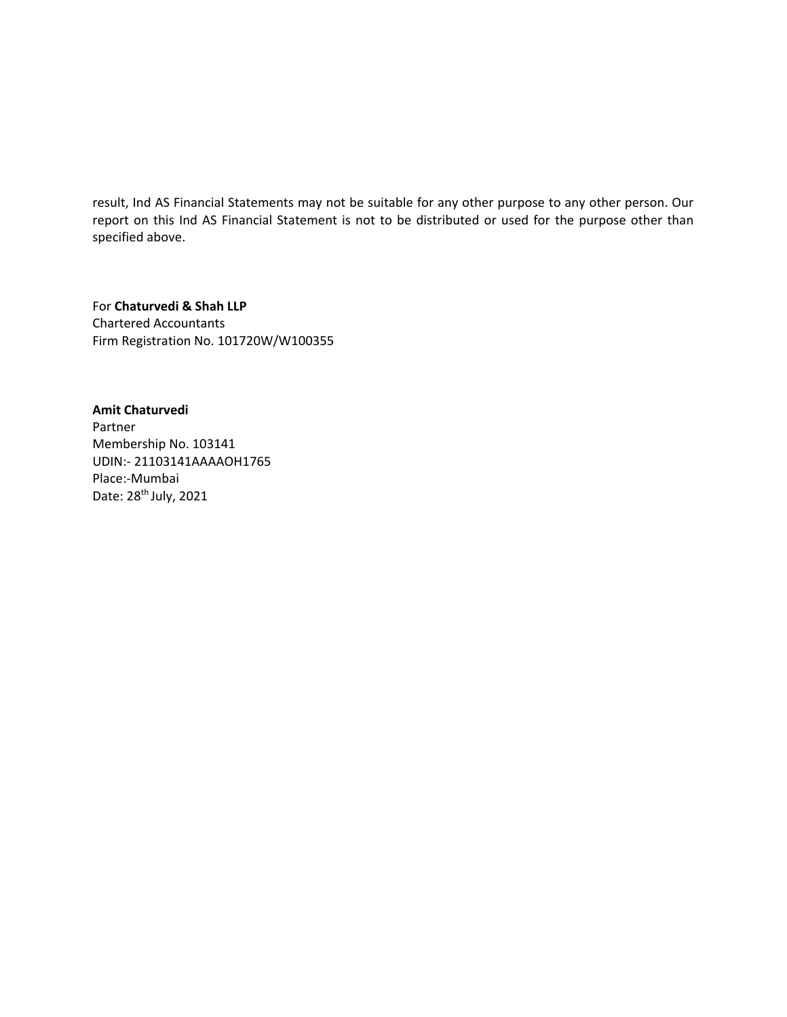result, Ind AS Financial Statements may not be suitable for any other purpose to any other person. Our report on this Ind AS Financial Statement is not to be distributed or used for the purpose other than specified above.

For **Chaturvedi & Shah LLP** Chartered Accountants Firm Registration No. 101720W/W100355

**Amit Chaturvedi** Partner Membership No. 103141 UDIN:‐ 21103141AAAAOH1765 Place:‐Mumbai Date: 28th July, 2021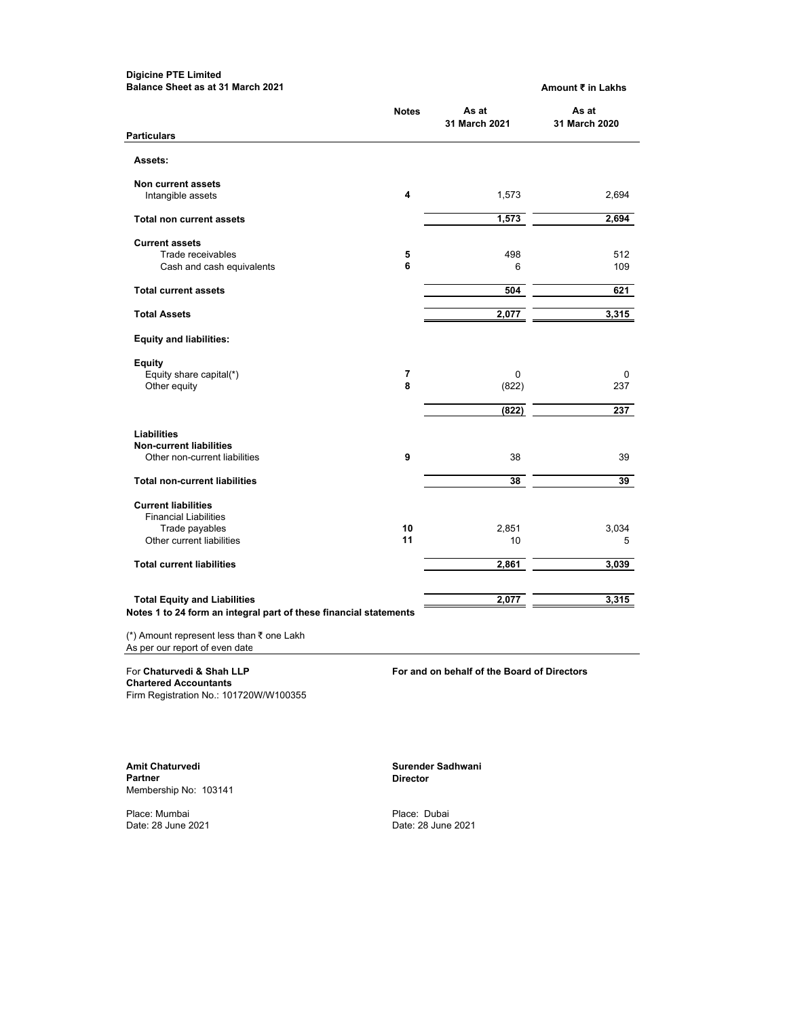#### **Digicine PTE Limited Balance Sheet as at 31 March 2021 Amount ₹ in Lakhs**

|                                                                   | <b>Notes</b> | As at<br>31 March 2021 | As at<br>31 March 2020 |
|-------------------------------------------------------------------|--------------|------------------------|------------------------|
| <b>Particulars</b>                                                |              |                        |                        |
| Assets:                                                           |              |                        |                        |
| Non current assets                                                |              |                        |                        |
| Intangible assets                                                 | 4            | 1,573                  | 2,694                  |
| <b>Total non current assets</b>                                   |              | 1,573                  | 2,694                  |
| <b>Current assets</b>                                             |              |                        |                        |
| Trade receivables                                                 | 5            | 498                    | 512                    |
| Cash and cash equivalents                                         | 6            | 6                      | 109                    |
| <b>Total current assets</b>                                       |              | 504                    | 621                    |
| <b>Total Assets</b>                                               |              | 2,077                  | 3,315                  |
| <b>Equity and liabilities:</b>                                    |              |                        |                        |
| Equity                                                            |              |                        |                        |
| Equity share capital(*)<br>Other equity                           | 7<br>8       | $\mathbf 0$<br>(822)   | 0<br>237               |
|                                                                   |              | (822)                  | 237                    |
|                                                                   |              |                        |                        |
| Liabilities<br><b>Non-current liabilities</b>                     |              |                        |                        |
| Other non-current liabilities                                     | 9            | 38                     | 39                     |
|                                                                   |              |                        |                        |
| <b>Total non-current liabilities</b>                              |              | 38                     | 39                     |
| <b>Current liabilities</b>                                        |              |                        |                        |
| <b>Financial Liabilities</b>                                      |              |                        |                        |
| Trade payables                                                    | 10           | 2,851                  | 3,034                  |
| Other current liabilities                                         | 11           | 10                     | 5                      |
| <b>Total current liabilities</b>                                  |              | 2,861                  | 3,039                  |
| <b>Total Equity and Liabilities</b>                               |              | 2,077                  | 3,315                  |
| Notes 1 to 24 form an integral part of these financial statements |              |                        |                        |

(\*) Amount represent less than ₹ one Lakh As per our report of even date

**Chartered Accountants** Firm Registration No.: 101720W/W100355

For **Chaturvedi & Shah LLP For and on behalf of the Board of Directors**

Amit Chaturvedi **Surender Sadhwani Surender Sadhwani Surender Sadhwani Partner Director**  Membership No: 103141

Place: Mumbai Place: Dubai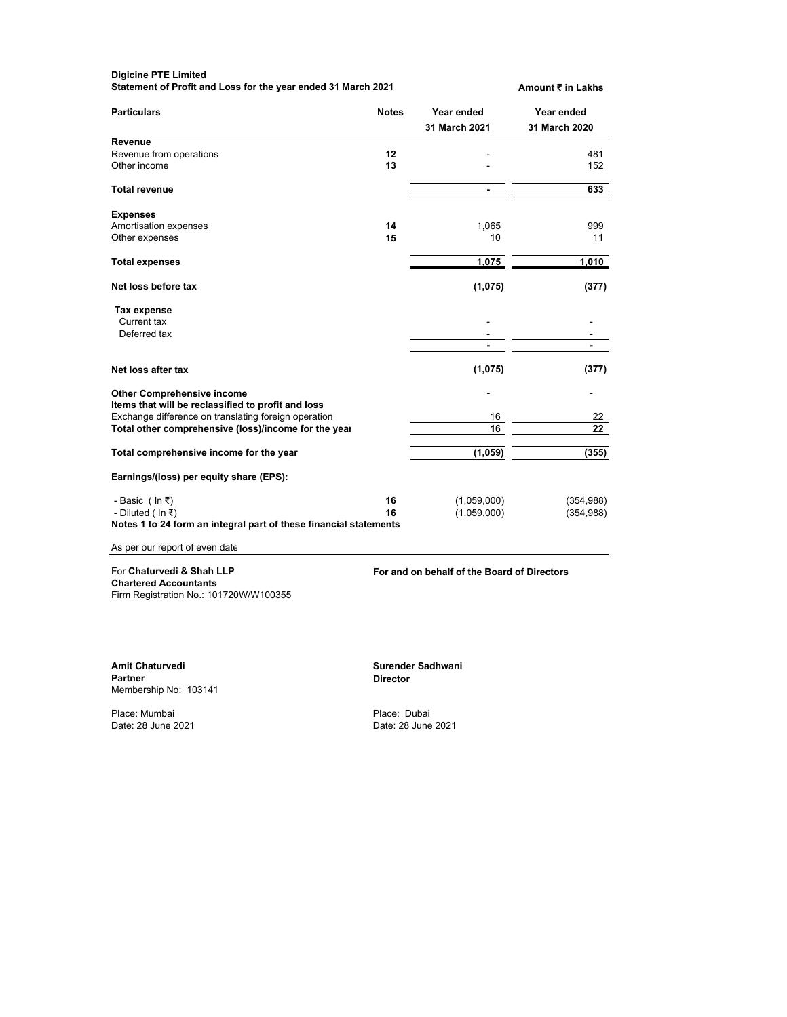| <b>Digicine PTE Limited</b><br>Statement of Profit and Loss for the year ended 31 March 2021            |              |                             | Amount ₹ in Lakhs           |
|---------------------------------------------------------------------------------------------------------|--------------|-----------------------------|-----------------------------|
| <b>Particulars</b>                                                                                      | <b>Notes</b> | Year ended<br>31 March 2021 | Year ended<br>31 March 2020 |
| Revenue                                                                                                 |              |                             |                             |
| Revenue from operations<br>Other income                                                                 | 12<br>13     |                             | 481<br>152                  |
| <b>Total revenue</b>                                                                                    |              |                             | 633                         |
| <b>Expenses</b><br>Amortisation expenses<br>Other expenses                                              | 14<br>15     | 1,065<br>10                 | 999<br>11                   |
| <b>Total expenses</b>                                                                                   |              | 1,075                       | 1,010                       |
| Net loss before tax                                                                                     |              | (1,075)                     | (377)                       |
| Tax expense<br>Current tax<br>Deferred tax                                                              |              |                             |                             |
| Net loss after tax                                                                                      |              | (1,075)                     | (377)                       |
| <b>Other Comprehensive income</b><br>Items that will be reclassified to profit and loss                 |              |                             |                             |
| Exchange difference on translating foreign operation                                                    |              | 16                          | 22                          |
| Total other comprehensive (loss)/income for the year                                                    |              | 16                          | 22                          |
| Total comprehensive income for the year                                                                 |              | (1,059)                     | (355)                       |
| Earnings/(loss) per equity share (EPS):                                                                 |              |                             |                             |
| - Basic (In ₹)<br>- Diluted (In ₹)<br>Notes 1 to 24 form an integral part of these financial statements | 16<br>16     | (1,059,000)<br>(1,059,000)  | (354, 988)<br>(354, 988)    |
| As per our report of even date                                                                          |              |                             |                             |

**Chartered Accountants** Firm Registration No.: 101720W/W100355

For **Chaturvedi & Shah LLP For and on behalf of the Board of Directors**

Amit Chaturvedi **Surender Sadhwani**<br>Partner **Surender Sadhwani** Partner Surender Sadhwani Membership No: 103141

Place: Mumbai Place: Dubai

**Director**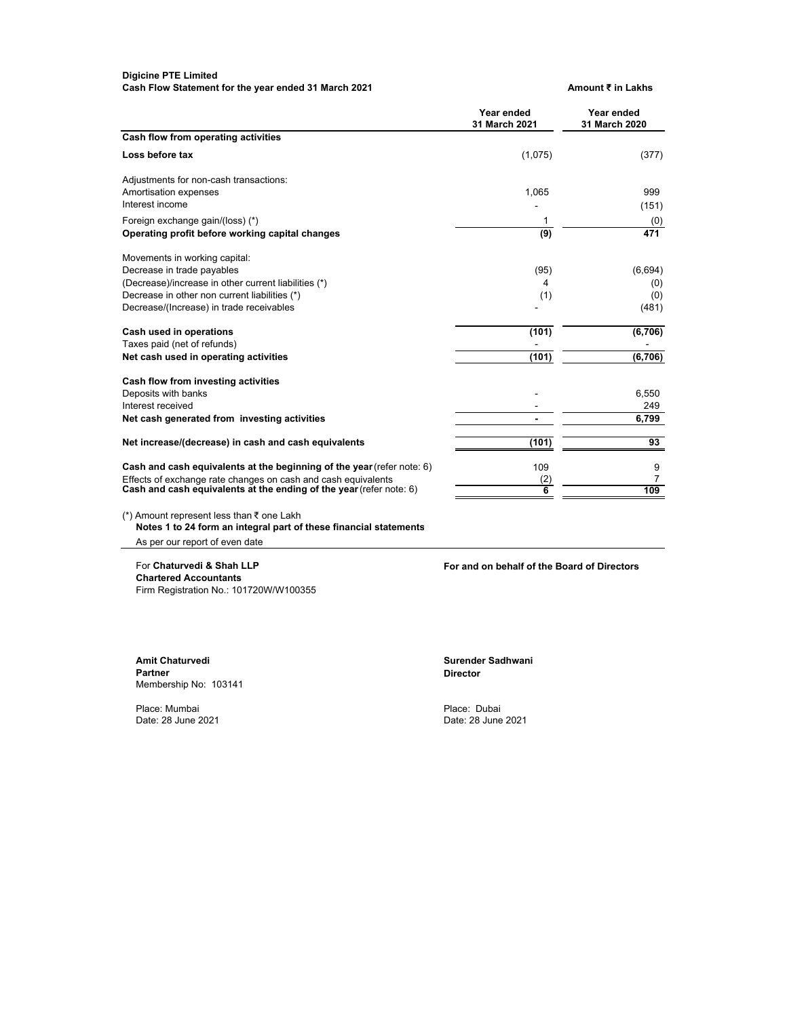## **Digicine PTE Limited** Cash Flow Statement for the year ended 31 March 2021 **Amount ₹** in Lakhs

|                                                                        | Year ended<br>31 March 2021 | Year ended<br>31 March 2020 |
|------------------------------------------------------------------------|-----------------------------|-----------------------------|
| Cash flow from operating activities                                    |                             |                             |
| Loss before tax                                                        | (1,075)                     | (377)                       |
| Adjustments for non-cash transactions:                                 |                             |                             |
| Amortisation expenses                                                  | 1,065                       | 999                         |
| Interest income                                                        |                             | (151)                       |
| Foreign exchange gain/(loss) (*)                                       | 1                           | (0)                         |
| Operating profit before working capital changes                        | (9)                         | 471                         |
| Movements in working capital:                                          |                             |                             |
| Decrease in trade payables                                             | (95)                        | (6,694)                     |
| (Decrease)/increase in other current liabilities (*)                   | 4                           | (0)                         |
| Decrease in other non current liabilities (*)                          | (1)                         | (0)                         |
| Decrease/(Increase) in trade receivables                               |                             | (481)                       |
| Cash used in operations                                                | (101)                       | (6,706)                     |
| Taxes paid (net of refunds)                                            |                             |                             |
| Net cash used in operating activities                                  | (101)                       | (6,706)                     |
| Cash flow from investing activities                                    |                             |                             |
| Deposits with banks                                                    |                             | 6,550                       |
| Interest received                                                      |                             | 249                         |
| Net cash generated from investing activities                           |                             | 6,799                       |
| Net increase/(decrease) in cash and cash equivalents                   | (101)                       | 93                          |
| Cash and cash equivalents at the beginning of the year (refer note: 6) | 109                         | 9                           |
| Effects of exchange rate changes on cash and cash equivalents          | (2)                         | 7                           |
| Cash and cash equivalents at the ending of the year (refer note: 6)    | 6                           | 109                         |

(\*) Amount represent less than ₹ one Lakh **Notes 1 to 24 form an integral part of these financial statements**

As per our report of even date

**Chartered Accountants** Firm Registration No.: 101720W/W100355

For **Chaturvedi & Shah LLP For and on behalf of the Board of Directors**

**Amit Chaturvedi Surender Sadhwani**  Membership No: 103141

Place: Mumbai Place: Dubai

**Director**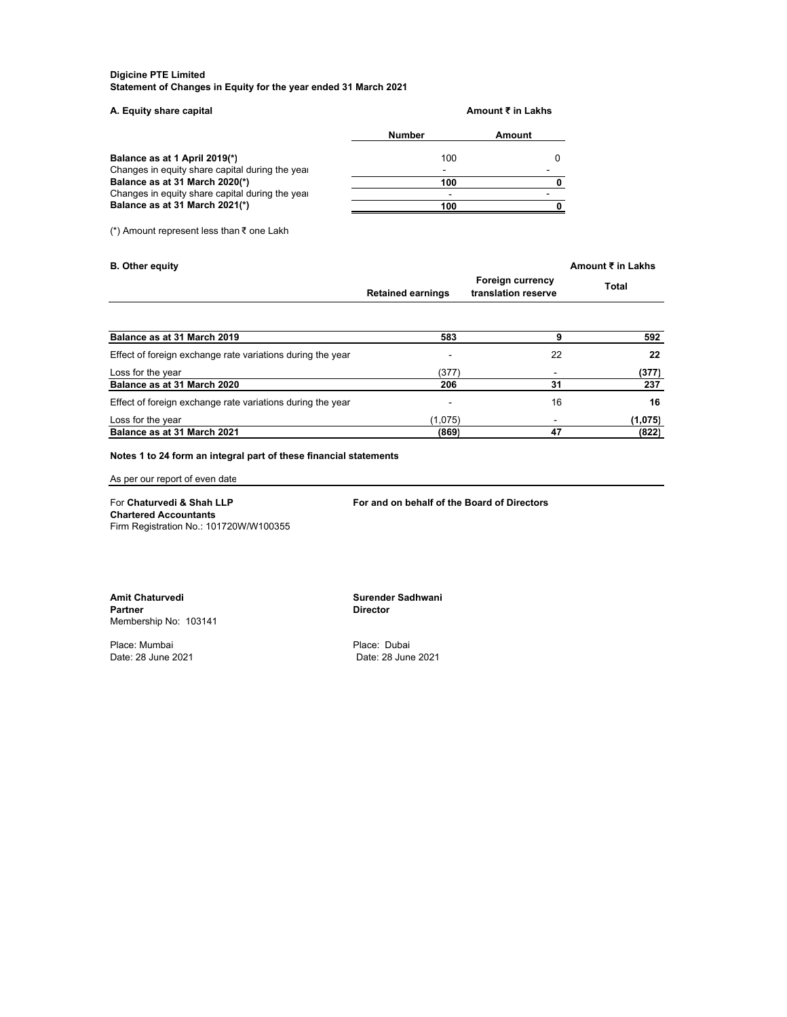#### **Digicine PTE Limited Statement of Changes in Equity for the year ended 31 March 2021**

| A. Equity share capital                         |                          | Amount ₹ in Lakhs |
|-------------------------------------------------|--------------------------|-------------------|
|                                                 | <b>Number</b>            | Amount            |
| Balance as at 1 April 2019(*)                   | 100                      |                   |
| Changes in equity share capital during the year | $\overline{\phantom{0}}$ |                   |
| Balance as at 31 March 2020(*)                  | 100                      |                   |
| Changes in equity share capital during the year | -                        |                   |
| Balance as at 31 March 2021(*)                  | 100                      |                   |
|                                                 |                          |                   |

(\*) Amount represent less than ₹ one Lakh

| <b>B.</b> Other equity                                     |                          |                                                | Amount ₹ in Lakhs |
|------------------------------------------------------------|--------------------------|------------------------------------------------|-------------------|
|                                                            | <b>Retained earnings</b> | <b>Foreign currency</b><br>translation reserve | Total             |
|                                                            |                          |                                                |                   |
| Balance as at 31 March 2019                                | 583                      | 9                                              | 592               |
| Effect of foreign exchange rate variations during the year |                          | 22                                             | 22                |
| Loss for the year                                          | (377)                    |                                                | (377)             |
| Balance as at 31 March 2020                                | 206                      | 31                                             | 237               |
| Effect of foreign exchange rate variations during the year |                          | 16                                             | 16                |
| Loss for the year                                          | (1,075)                  |                                                | (1,075)           |
| Balance as at 31 March 2021                                | (869)                    | 47                                             | (822)             |

# **Notes 1 to 24 form an integral part of these financial statements**

As per our report of even date

For **Chaturvedi & Shah LLP For and on behalf of the Board of Directors Chartered Accountants** Firm Registration No.: 101720W/W100355

**Amit Chaturvedi Surender Sadhwani**  Membership No: 103141

Place: Mumbai Place: Dubai

**Director**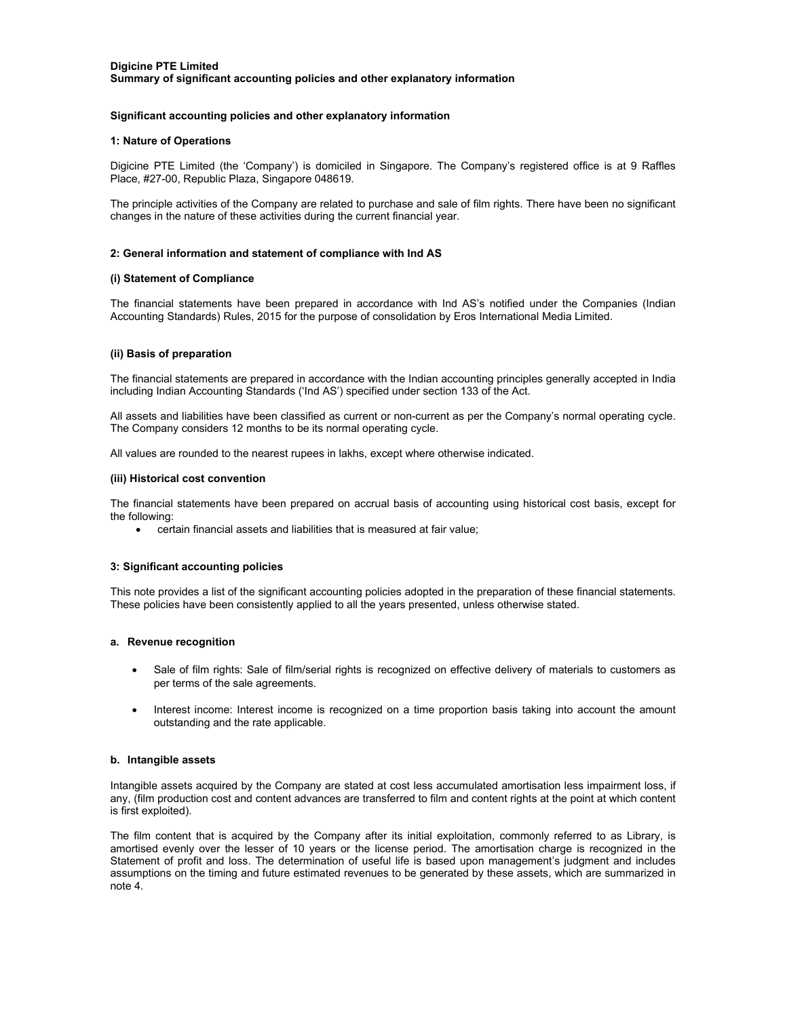# **Significant accounting policies and other explanatory information**

## **1: Nature of Operations**

Digicine PTE Limited (the 'Company') is domiciled in Singapore. The Company's registered office is at 9 Raffles Place, #27-00, Republic Plaza, Singapore 048619.

The principle activities of the Company are related to purchase and sale of film rights. There have been no significant changes in the nature of these activities during the current financial year.

## **2: General information and statement of compliance with Ind AS**

### **(i) Statement of Compliance**

The financial statements have been prepared in accordance with Ind AS's notified under the Companies (Indian Accounting Standards) Rules, 2015 for the purpose of consolidation by Eros International Media Limited.

# **(ii) Basis of preparation**

The financial statements are prepared in accordance with the Indian accounting principles generally accepted in India including Indian Accounting Standards ('Ind AS') specified under section 133 of the Act.

All assets and liabilities have been classified as current or non-current as per the Company's normal operating cycle. The Company considers 12 months to be its normal operating cycle.

All values are rounded to the nearest rupees in lakhs, except where otherwise indicated.

### **(iii) Historical cost convention**

The financial statements have been prepared on accrual basis of accounting using historical cost basis, except for the following:

certain financial assets and liabilities that is measured at fair value;

# **3: Significant accounting policies**

This note provides a list of the significant accounting policies adopted in the preparation of these financial statements. These policies have been consistently applied to all the years presented, unless otherwise stated.

#### **a. Revenue recognition**

- Sale of film rights: Sale of film/serial rights is recognized on effective delivery of materials to customers as per terms of the sale agreements.
- Interest income: Interest income is recognized on a time proportion basis taking into account the amount outstanding and the rate applicable.

#### **b. Intangible assets**

Intangible assets acquired by the Company are stated at cost less accumulated amortisation less impairment loss, if any, (film production cost and content advances are transferred to film and content rights at the point at which content is first exploited).

The film content that is acquired by the Company after its initial exploitation, commonly referred to as Library, is amortised evenly over the lesser of 10 years or the license period. The amortisation charge is recognized in the Statement of profit and loss. The determination of useful life is based upon management's judgment and includes assumptions on the timing and future estimated revenues to be generated by these assets, which are summarized in note 4.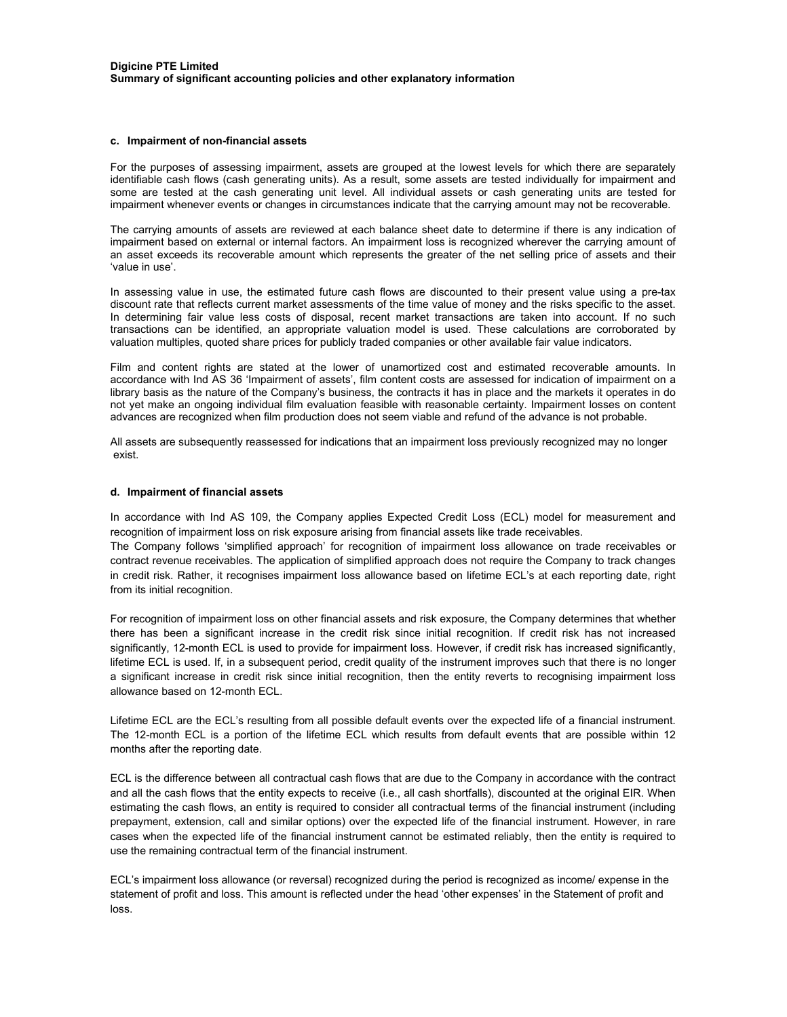### **c. Impairment of non-financial assets**

For the purposes of assessing impairment, assets are grouped at the lowest levels for which there are separately identifiable cash flows (cash generating units). As a result, some assets are tested individually for impairment and some are tested at the cash generating unit level. All individual assets or cash generating units are tested for impairment whenever events or changes in circumstances indicate that the carrying amount may not be recoverable.

The carrying amounts of assets are reviewed at each balance sheet date to determine if there is any indication of impairment based on external or internal factors. An impairment loss is recognized wherever the carrying amount of an asset exceeds its recoverable amount which represents the greater of the net selling price of assets and their 'value in use'.

In assessing value in use, the estimated future cash flows are discounted to their present value using a pre-tax discount rate that reflects current market assessments of the time value of money and the risks specific to the asset. In determining fair value less costs of disposal, recent market transactions are taken into account. If no such transactions can be identified, an appropriate valuation model is used. These calculations are corroborated by valuation multiples, quoted share prices for publicly traded companies or other available fair value indicators.

Film and content rights are stated at the lower of unamortized cost and estimated recoverable amounts. In accordance with Ind AS 36 'Impairment of assets', film content costs are assessed for indication of impairment on a library basis as the nature of the Company's business, the contracts it has in place and the markets it operates in do not yet make an ongoing individual film evaluation feasible with reasonable certainty. Impairment losses on content advances are recognized when film production does not seem viable and refund of the advance is not probable.

All assets are subsequently reassessed for indications that an impairment loss previously recognized may no longer exist.

#### **d. Impairment of financial assets**

In accordance with Ind AS 109, the Company applies Expected Credit Loss (ECL) model for measurement and recognition of impairment loss on risk exposure arising from financial assets like trade receivables.

The Company follows 'simplified approach' for recognition of impairment loss allowance on trade receivables or contract revenue receivables. The application of simplified approach does not require the Company to track changes in credit risk. Rather, it recognises impairment loss allowance based on lifetime ECL's at each reporting date, right from its initial recognition.

For recognition of impairment loss on other financial assets and risk exposure, the Company determines that whether there has been a significant increase in the credit risk since initial recognition. If credit risk has not increased significantly, 12-month ECL is used to provide for impairment loss. However, if credit risk has increased significantly, lifetime ECL is used. If, in a subsequent period, credit quality of the instrument improves such that there is no longer a significant increase in credit risk since initial recognition, then the entity reverts to recognising impairment loss allowance based on 12-month ECL.

Lifetime ECL are the ECL's resulting from all possible default events over the expected life of a financial instrument. The 12-month ECL is a portion of the lifetime ECL which results from default events that are possible within 12 months after the reporting date.

ECL is the difference between all contractual cash flows that are due to the Company in accordance with the contract and all the cash flows that the entity expects to receive (i.e., all cash shortfalls), discounted at the original EIR. When estimating the cash flows, an entity is required to consider all contractual terms of the financial instrument (including prepayment, extension, call and similar options) over the expected life of the financial instrument. However, in rare cases when the expected life of the financial instrument cannot be estimated reliably, then the entity is required to use the remaining contractual term of the financial instrument.

ECL's impairment loss allowance (or reversal) recognized during the period is recognized as income/ expense in the statement of profit and loss. This amount is reflected under the head 'other expenses' in the Statement of profit and loss.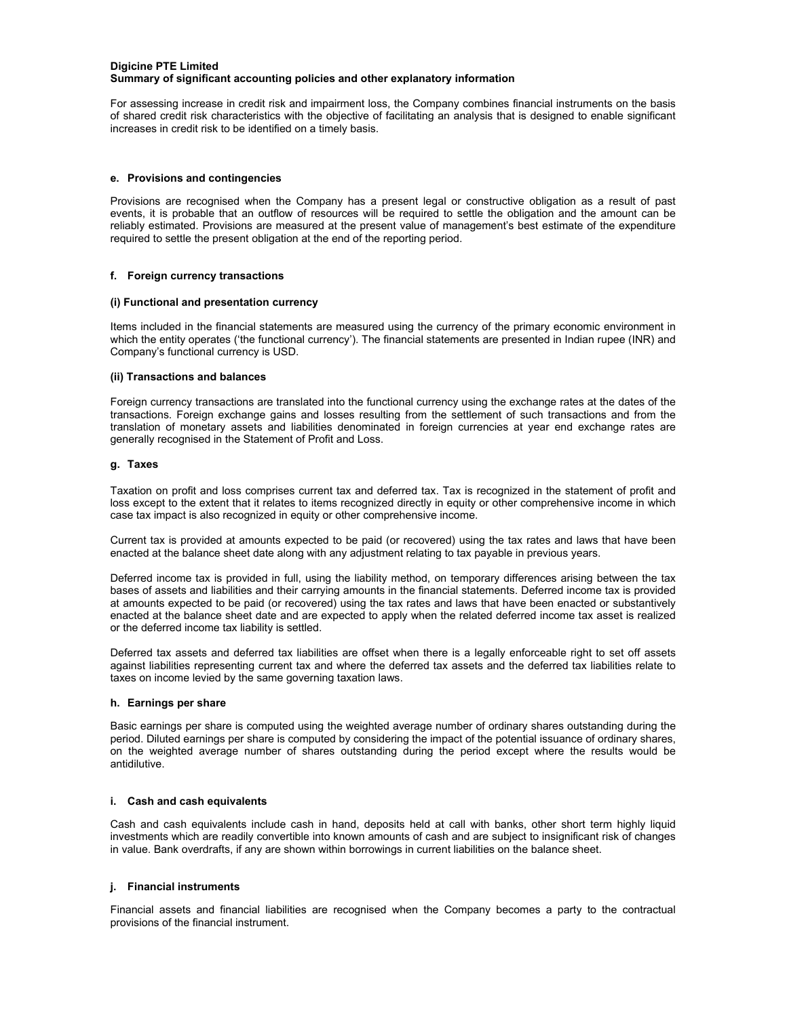## **Digicine PTE Limited Summary of significant accounting policies and other explanatory information**

For assessing increase in credit risk and impairment loss, the Company combines financial instruments on the basis of shared credit risk characteristics with the objective of facilitating an analysis that is designed to enable significant increases in credit risk to be identified on a timely basis.

# **e. Provisions and contingencies**

Provisions are recognised when the Company has a present legal or constructive obligation as a result of past events, it is probable that an outflow of resources will be required to settle the obligation and the amount can be reliably estimated. Provisions are measured at the present value of management's best estimate of the expenditure required to settle the present obligation at the end of the reporting period.

# **f. Foreign currency transactions**

# **(i) Functional and presentation currency**

Items included in the financial statements are measured using the currency of the primary economic environment in which the entity operates ('the functional currency'). The financial statements are presented in Indian rupee (INR) and Company's functional currency is USD.

# **(ii) Transactions and balances**

Foreign currency transactions are translated into the functional currency using the exchange rates at the dates of the transactions. Foreign exchange gains and losses resulting from the settlement of such transactions and from the translation of monetary assets and liabilities denominated in foreign currencies at year end exchange rates are generally recognised in the Statement of Profit and Loss.

# **g. Taxes**

Taxation on profit and loss comprises current tax and deferred tax. Tax is recognized in the statement of profit and loss except to the extent that it relates to items recognized directly in equity or other comprehensive income in which case tax impact is also recognized in equity or other comprehensive income.

Current tax is provided at amounts expected to be paid (or recovered) using the tax rates and laws that have been enacted at the balance sheet date along with any adjustment relating to tax payable in previous years.

Deferred income tax is provided in full, using the liability method, on temporary differences arising between the tax bases of assets and liabilities and their carrying amounts in the financial statements. Deferred income tax is provided at amounts expected to be paid (or recovered) using the tax rates and laws that have been enacted or substantively enacted at the balance sheet date and are expected to apply when the related deferred income tax asset is realized or the deferred income tax liability is settled.

Deferred tax assets and deferred tax liabilities are offset when there is a legally enforceable right to set off assets against liabilities representing current tax and where the deferred tax assets and the deferred tax liabilities relate to taxes on income levied by the same governing taxation laws.

# **h. Earnings per share**

Basic earnings per share is computed using the weighted average number of ordinary shares outstanding during the period. Diluted earnings per share is computed by considering the impact of the potential issuance of ordinary shares, on the weighted average number of shares outstanding during the period except where the results would be antidilutive.

# **i. Cash and cash equivalents**

Cash and cash equivalents include cash in hand, deposits held at call with banks, other short term highly liquid investments which are readily convertible into known amounts of cash and are subject to insignificant risk of changes in value. Bank overdrafts, if any are shown within borrowings in current liabilities on the balance sheet.

# **j. Financial instruments**

Financial assets and financial liabilities are recognised when the Company becomes a party to the contractual provisions of the financial instrument.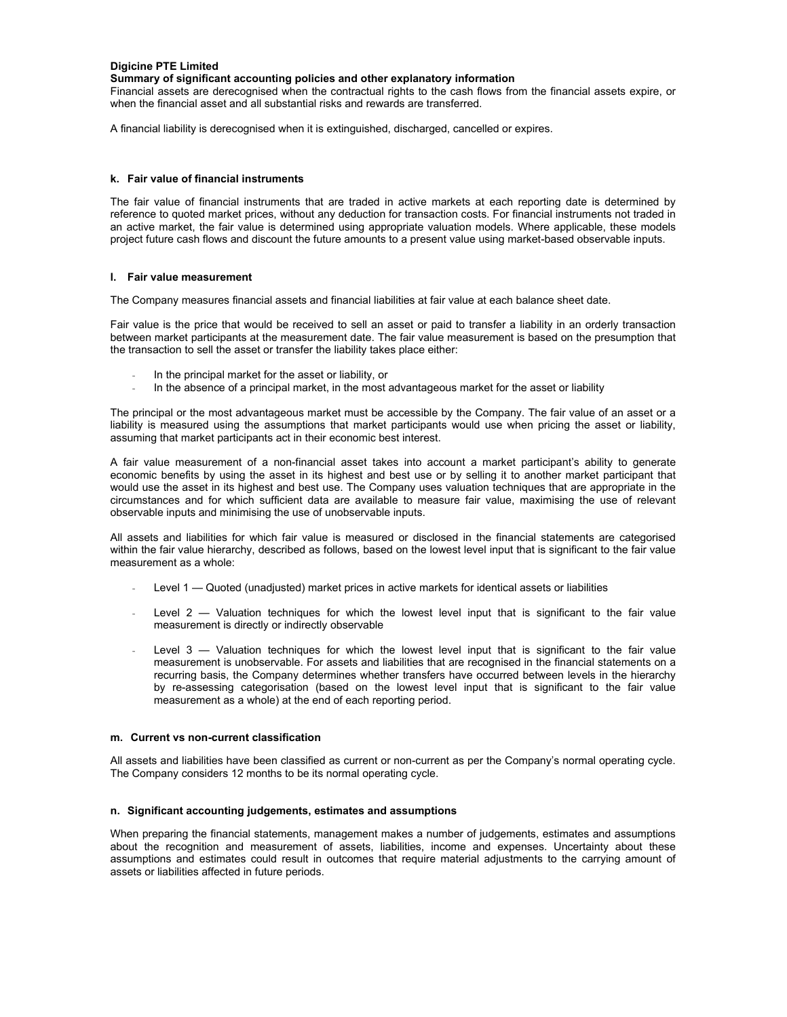## **Digicine PTE Limited**

# **Summary of significant accounting policies and other explanatory information**

Financial assets are derecognised when the contractual rights to the cash flows from the financial assets expire, or when the financial asset and all substantial risks and rewards are transferred.

A financial liability is derecognised when it is extinguished, discharged, cancelled or expires.

### **k. Fair value of financial instruments**

The fair value of financial instruments that are traded in active markets at each reporting date is determined by reference to quoted market prices, without any deduction for transaction costs. For financial instruments not traded in an active market, the fair value is determined using appropriate valuation models. Where applicable, these models project future cash flows and discount the future amounts to a present value using market-based observable inputs.

### **l. Fair value measurement**

The Company measures financial assets and financial liabilities at fair value at each balance sheet date.

Fair value is the price that would be received to sell an asset or paid to transfer a liability in an orderly transaction between market participants at the measurement date. The fair value measurement is based on the presumption that the transaction to sell the asset or transfer the liability takes place either:

- In the principal market for the asset or liability, or
- In the absence of a principal market, in the most advantageous market for the asset or liability

The principal or the most advantageous market must be accessible by the Company. The fair value of an asset or a liability is measured using the assumptions that market participants would use when pricing the asset or liability, assuming that market participants act in their economic best interest.

A fair value measurement of a non-financial asset takes into account a market participant's ability to generate economic benefits by using the asset in its highest and best use or by selling it to another market participant that would use the asset in its highest and best use. The Company uses valuation techniques that are appropriate in the circumstances and for which sufficient data are available to measure fair value, maximising the use of relevant observable inputs and minimising the use of unobservable inputs.

All assets and liabilities for which fair value is measured or disclosed in the financial statements are categorised within the fair value hierarchy, described as follows, based on the lowest level input that is significant to the fair value measurement as a whole:

- Level 1 Quoted (unadjusted) market prices in active markets for identical assets or liabilities
- Level  $2$  Valuation techniques for which the lowest level input that is significant to the fair value measurement is directly or indirectly observable
- Level  $3$  Valuation techniques for which the lowest level input that is significant to the fair value measurement is unobservable. For assets and liabilities that are recognised in the financial statements on a recurring basis, the Company determines whether transfers have occurred between levels in the hierarchy by re-assessing categorisation (based on the lowest level input that is significant to the fair value measurement as a whole) at the end of each reporting period.

# **m. Current vs non-current classification**

All assets and liabilities have been classified as current or non-current as per the Company's normal operating cycle. The Company considers 12 months to be its normal operating cycle.

## **n. Significant accounting judgements, estimates and assumptions**

When preparing the financial statements, management makes a number of judgements, estimates and assumptions about the recognition and measurement of assets, liabilities, income and expenses. Uncertainty about these assumptions and estimates could result in outcomes that require material adjustments to the carrying amount of assets or liabilities affected in future periods.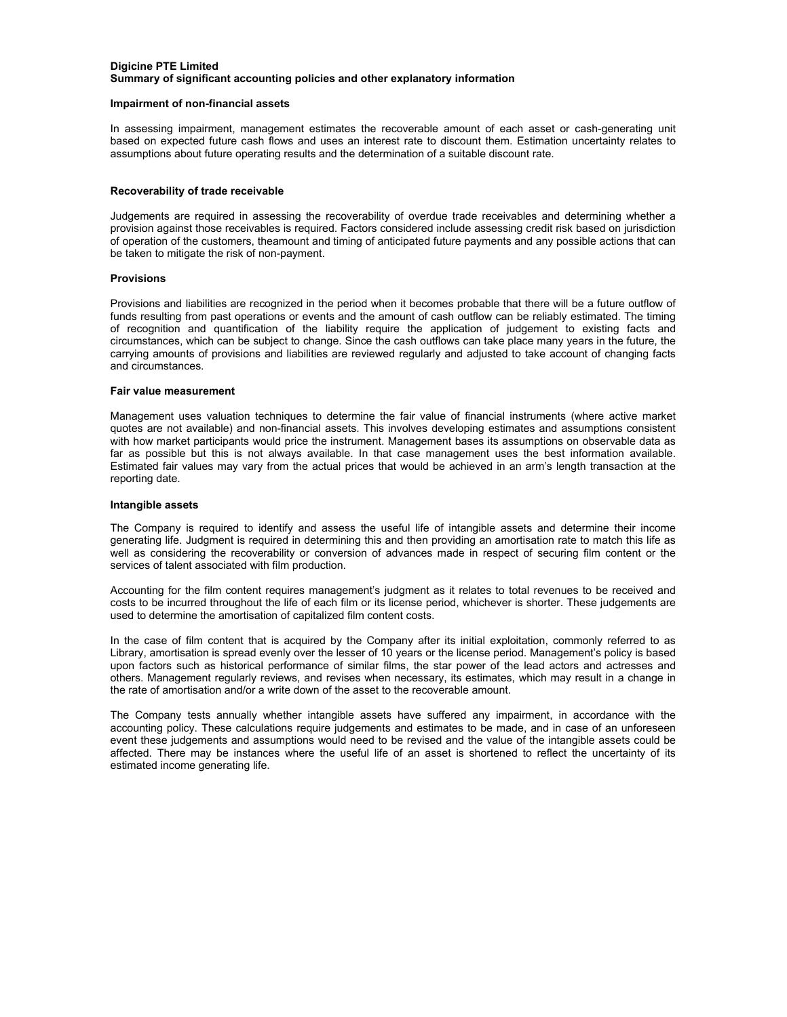# **Digicine PTE Limited Summary of significant accounting policies and other explanatory information**

#### **Impairment of non-financial assets**

In assessing impairment, management estimates the recoverable amount of each asset or cash-generating unit based on expected future cash flows and uses an interest rate to discount them. Estimation uncertainty relates to assumptions about future operating results and the determination of a suitable discount rate.

#### **Recoverability of trade receivable**

Judgements are required in assessing the recoverability of overdue trade receivables and determining whether a provision against those receivables is required. Factors considered include assessing credit risk based on jurisdiction of operation of the customers, theamount and timing of anticipated future payments and any possible actions that can be taken to mitigate the risk of non-payment.

### **Provisions**

Provisions and liabilities are recognized in the period when it becomes probable that there will be a future outflow of funds resulting from past operations or events and the amount of cash outflow can be reliably estimated. The timing of recognition and quantification of the liability require the application of judgement to existing facts and circumstances, which can be subject to change. Since the cash outflows can take place many years in the future, the carrying amounts of provisions and liabilities are reviewed regularly and adjusted to take account of changing facts and circumstances.

## **Fair value measurement**

Management uses valuation techniques to determine the fair value of financial instruments (where active market quotes are not available) and non-financial assets. This involves developing estimates and assumptions consistent with how market participants would price the instrument. Management bases its assumptions on observable data as far as possible but this is not always available. In that case management uses the best information available. Estimated fair values may vary from the actual prices that would be achieved in an arm's length transaction at the reporting date.

#### **Intangible assets**

The Company is required to identify and assess the useful life of intangible assets and determine their income generating life. Judgment is required in determining this and then providing an amortisation rate to match this life as well as considering the recoverability or conversion of advances made in respect of securing film content or the services of talent associated with film production.

Accounting for the film content requires management's judgment as it relates to total revenues to be received and costs to be incurred throughout the life of each film or its license period, whichever is shorter. These judgements are used to determine the amortisation of capitalized film content costs.

In the case of film content that is acquired by the Company after its initial exploitation, commonly referred to as Library, amortisation is spread evenly over the lesser of 10 years or the license period. Management's policy is based upon factors such as historical performance of similar films, the star power of the lead actors and actresses and others. Management regularly reviews, and revises when necessary, its estimates, which may result in a change in the rate of amortisation and/or a write down of the asset to the recoverable amount.

The Company tests annually whether intangible assets have suffered any impairment, in accordance with the accounting policy. These calculations require judgements and estimates to be made, and in case of an unforeseen event these judgements and assumptions would need to be revised and the value of the intangible assets could be affected. There may be instances where the useful life of an asset is shortened to reflect the uncertainty of its estimated income generating life.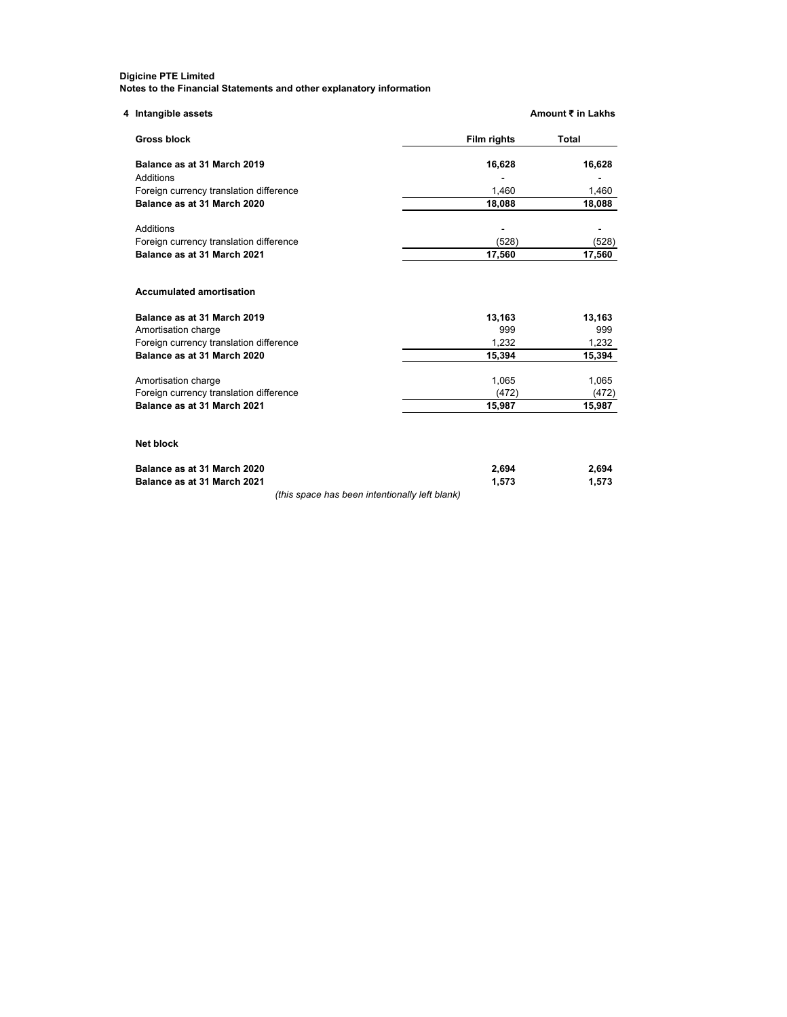| 4 Intangible assets                            |             | Amount ₹ in Lakhs |
|------------------------------------------------|-------------|-------------------|
| <b>Gross block</b>                             | Film rights | Total             |
| Balance as at 31 March 2019                    | 16,628      | 16,628            |
| Additions                                      |             |                   |
| Foreign currency translation difference        | 1,460       | 1,460             |
| Balance as at 31 March 2020                    | 18,088      | 18,088            |
| Additions                                      |             |                   |
| Foreign currency translation difference        | (528)       | (528)             |
| Balance as at 31 March 2021                    | 17,560      | 17,560            |
| <b>Accumulated amortisation</b>                |             |                   |
| Balance as at 31 March 2019                    | 13,163      | 13,163            |
| Amortisation charge                            | 999         | 999               |
| Foreign currency translation difference        | 1,232       | 1,232             |
| Balance as at 31 March 2020                    | 15,394      | 15,394            |
| Amortisation charge                            | 1,065       | 1,065             |
| Foreign currency translation difference        | (472)       | (472)             |
| Balance as at 31 March 2021                    | 15.987      | 15,987            |
| <b>Net block</b>                               |             |                   |
| Balance as at 31 March 2020                    | 2,694       | 2,694             |
| Balance as at 31 March 2021                    | 1,573       | 1,573             |
| (this space has been intentionally left blank) |             |                   |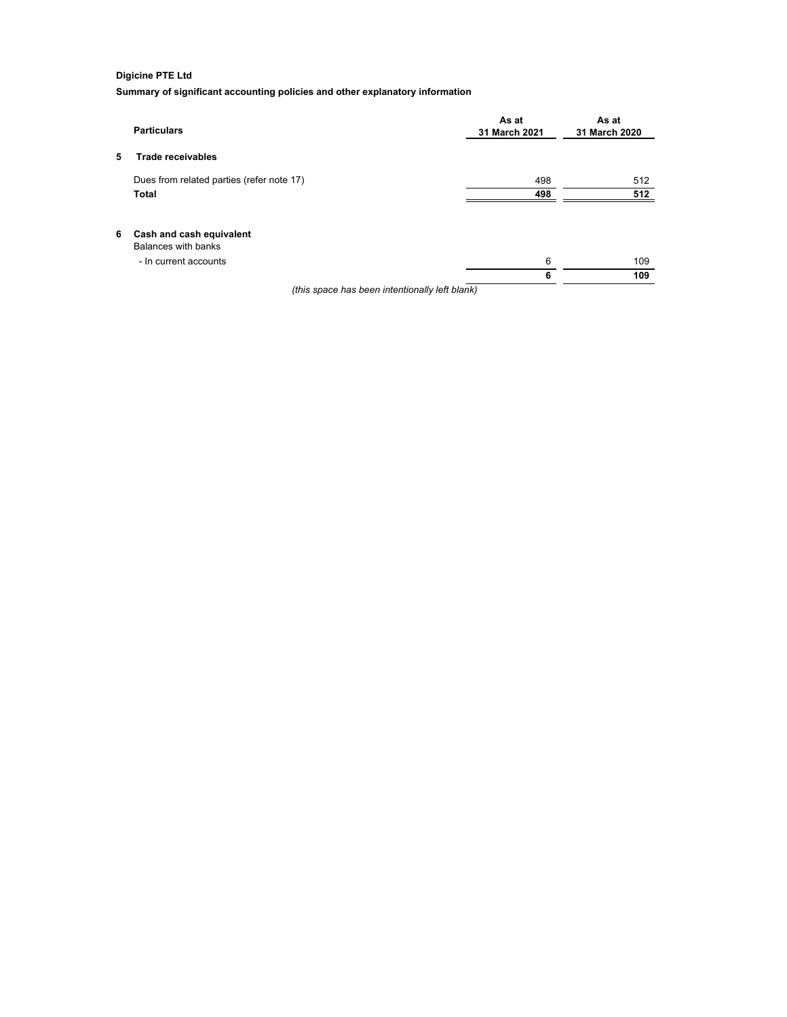# **Digicine PTE Ltd**

**Summary of significant accounting policies and other explanatory information**

|    | <b>Particulars</b>                              | As at<br>31 March 2021 | As at<br>31 March 2020 |
|----|-------------------------------------------------|------------------------|------------------------|
| 5  | <b>Trade receivables</b>                        |                        |                        |
|    | Dues from related parties (refer note 17)       | 498                    | 512                    |
|    | Total                                           | 498                    | 512                    |
| 6. | Cash and cash equivalent<br>Balances with banks |                        |                        |
|    | - In current accounts                           | 6                      | 109                    |
|    |                                                 | 6                      | 109                    |
|    | (this space has been intentionally left blank)  |                        |                        |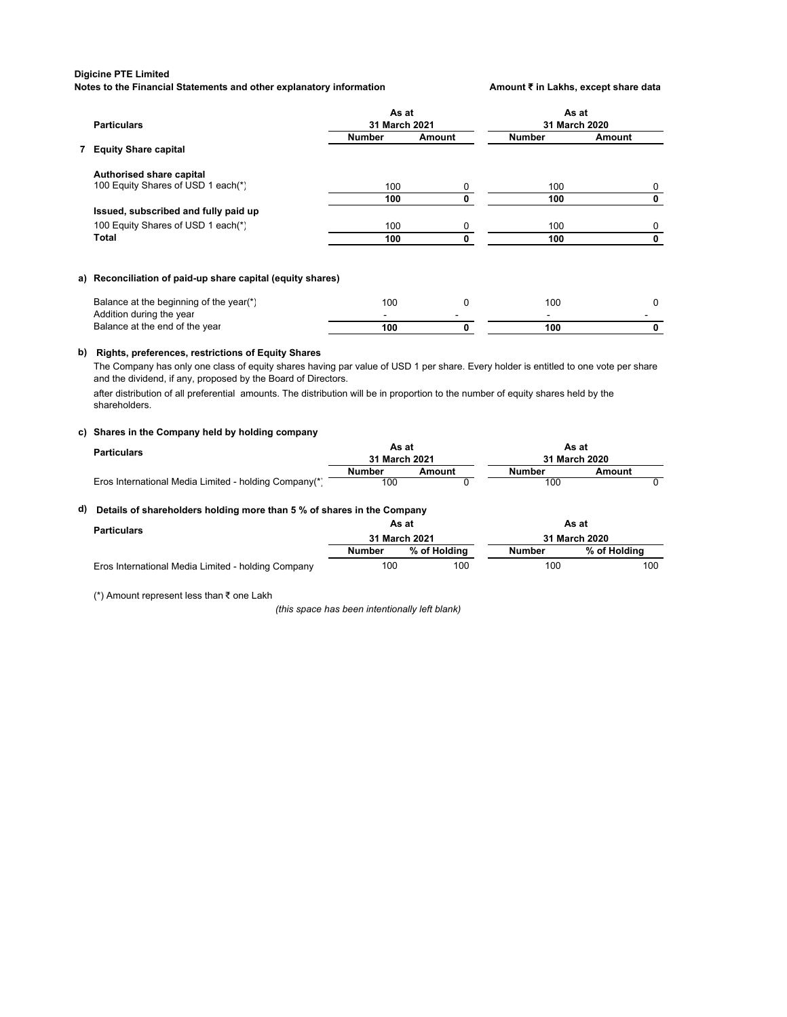#### **Digicine PTE Limited**

**Notes to the Financial Statements and other explanatory information <b>Amount ₹** in Lakhs, except share data

| <b>Particulars</b>                                                  | As at<br>31 March 2021 |          | As at<br>31 March 2020 |          |
|---------------------------------------------------------------------|------------------------|----------|------------------------|----------|
|                                                                     | <b>Number</b>          | Amount   | <b>Number</b>          | Amount   |
| 7 Equity Share capital                                              |                        |          |                        |          |
| Authorised share capital                                            |                        |          |                        |          |
| 100 Equity Shares of USD 1 each(*)                                  | 100                    | 0        | 100                    | 0        |
|                                                                     | 100                    | 0        | 100                    | 0        |
| Issued, subscribed and fully paid up                                |                        |          |                        |          |
| 100 Equity Shares of USD 1 each(*)                                  | 100                    | 0        | 100                    | 0        |
| <b>Total</b>                                                        | 100                    | 0        | 100                    | 0        |
| a) Reconciliation of paid-up share capital (equity shares)          |                        |          |                        |          |
| Balance at the beginning of the year(*)<br>Addition during the year | 100                    | $\Omega$ | 100                    | $\Omega$ |
| Balance at the end of the year                                      | 100                    | 0        | 100                    | 0        |

# **b) Rights, preferences, restrictions of Equity Shares**

The Company has only one class of equity shares having par value of USD 1 per share. Every holder is entitled to one vote per share and the dividend, if any, proposed by the Board of Directors.

after distribution of all preferential amounts. The distribution will be in proportion to the number of equity shares held by the shareholders.

#### **c) Shares in the Company held by holding company**

| Particulars                                           | As at<br>31 March 2021 |        | As at<br>31 March 2020 |        |
|-------------------------------------------------------|------------------------|--------|------------------------|--------|
|                                                       | Number                 | Amount | Number                 | Amount |
| Eros International Media Limited - holding Company(*) | 100                    |        | 100                    |        |

## **d) Details of shareholders holding more than 5 % of shares in the Company**

| <b>Particulars</b>                                 | As at<br>31 March 2021 |              | As at<br>31 March 2020 |              |
|----------------------------------------------------|------------------------|--------------|------------------------|--------------|
|                                                    |                        |              |                        |              |
|                                                    | <b>Number</b>          | % of Holding | <b>Number</b>          | % of Holding |
| Eros International Media Limited - holding Company | 100                    | 100          | 100                    | 100          |

(\*) Amount represent less than ₹ one Lakh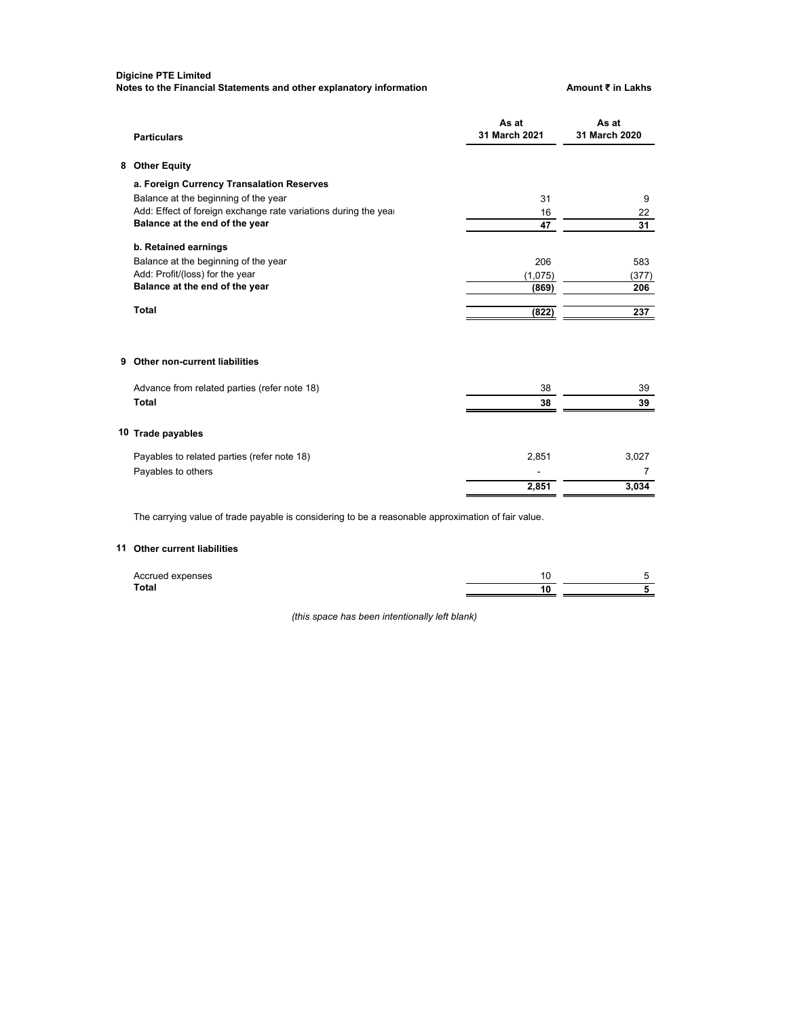# **Digicine PTE Limited**

**Notes to the Financial Statements and other explanatory information Amount ₹ in Lakhs** 

| <b>Particulars</b>                                                                                 | As at<br>31 March 2021 | As at<br>31 March 2020 |
|----------------------------------------------------------------------------------------------------|------------------------|------------------------|
| 8 Other Equity                                                                                     |                        |                        |
| a. Foreign Currency Transalation Reserves                                                          |                        |                        |
| Balance at the beginning of the year                                                               | 31                     | 9                      |
| Add: Effect of foreign exchange rate variations during the year                                    | 16                     | 22                     |
| Balance at the end of the year                                                                     | 47                     | 31                     |
| b. Retained earnings                                                                               |                        |                        |
| Balance at the beginning of the year                                                               | 206                    | 583                    |
| Add: Profit/(loss) for the year                                                                    | (1,075)                | (377)                  |
| Balance at the end of the year                                                                     | (869)                  | 206                    |
| <b>Total</b>                                                                                       | (822)                  | 237                    |
| 9 Other non-current liabilities                                                                    |                        |                        |
| Advance from related parties (refer note 18)                                                       | 38                     | 39                     |
| <b>Total</b>                                                                                       | 38                     | 39                     |
| 10 Trade payables                                                                                  |                        |                        |
| Payables to related parties (refer note 18)                                                        | 2,851                  | 3,027                  |
| Payables to others                                                                                 |                        | $\overline{7}$         |
|                                                                                                    | 2,851                  | 3,034                  |
| The carrying value of trade payable is considering to be a reasonable approximation of fair value. |                        |                        |

# **11 Other current liabilities**

| Accrued expenses |  |
|------------------|--|
| Total            |  |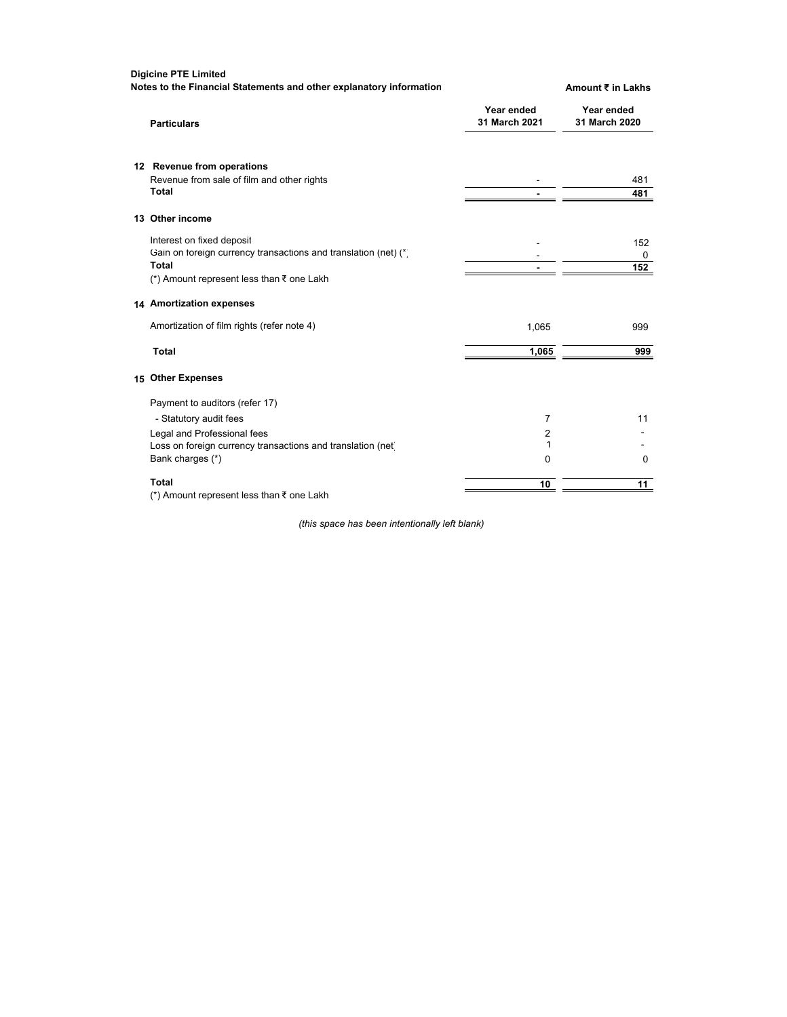**Digicine PTE Limited Notes to the Financial Statements and other explanatory information <b>Amount ₹** in Lakhs

| <b>Particulars</b>                                              | Year ended<br>31 March 2021 | Year ended<br>31 March 2020 |
|-----------------------------------------------------------------|-----------------------------|-----------------------------|
| 12 Revenue from operations                                      |                             |                             |
| Revenue from sale of film and other rights                      |                             | 481                         |
| <b>Total</b>                                                    |                             | 481                         |
| 13 Other income                                                 |                             |                             |
| Interest on fixed deposit                                       |                             | 152                         |
| Gain on foreign currency transactions and translation (net) (*) |                             | 0                           |
| Total                                                           |                             | 152                         |
| (*) Amount represent less than ₹ one Lakh                       |                             |                             |
| 14 Amortization expenses                                        |                             |                             |
| Amortization of film rights (refer note 4)                      | 1,065                       | 999                         |
| <b>Total</b>                                                    | 1,065                       | 999                         |
| 15 Other Expenses                                               |                             |                             |
| Payment to auditors (refer 17)                                  |                             |                             |
| - Statutory audit fees                                          | 7                           | 11                          |
| Legal and Professional fees                                     | 2                           |                             |
| Loss on foreign currency transactions and translation (net)     | 1                           |                             |
| Bank charges (*)                                                | $\Omega$                    | $\Omega$                    |
| Total                                                           | 10                          | 11                          |
| (*) Amount represent less than $\bar{\tau}$ one Lakh            |                             |                             |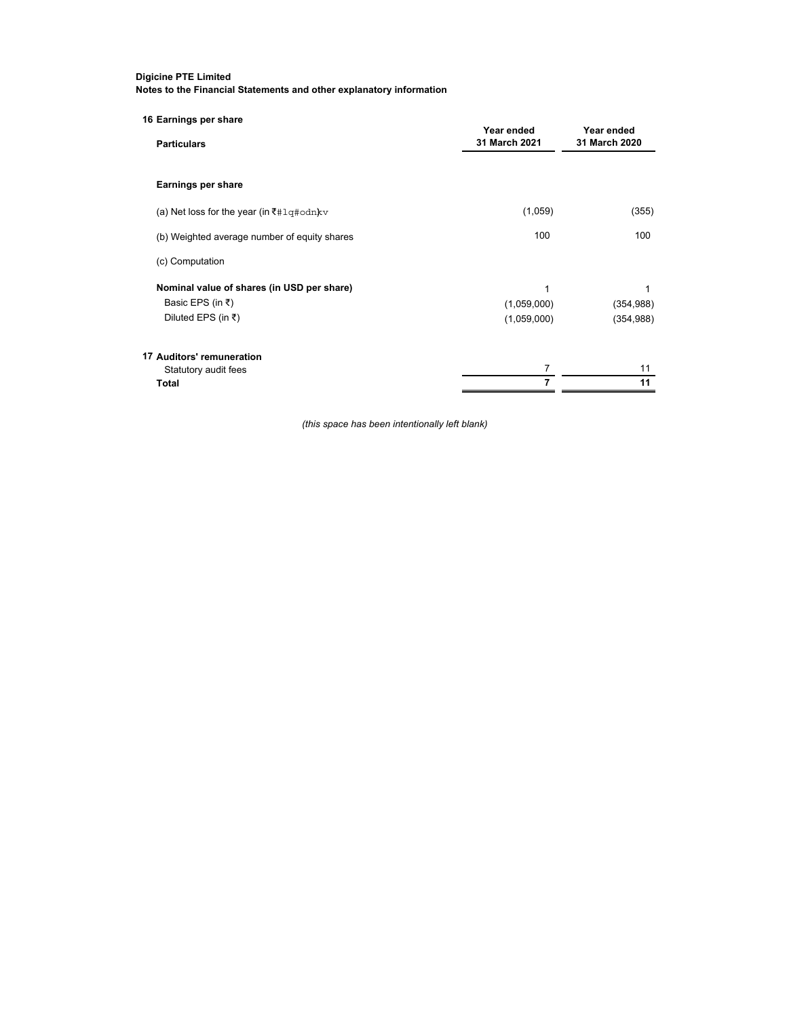| 16 Earnings per share<br><b>Particulars</b>  | Year ended<br>31 March 2021 | Year ended<br>31 March 2020 |
|----------------------------------------------|-----------------------------|-----------------------------|
|                                              |                             |                             |
| Earnings per share                           |                             |                             |
| (a) Net loss for the year (in ₹#1q#odn) kv   | (1,059)                     | (355)                       |
| (b) Weighted average number of equity shares | 100                         | 100                         |
| (c) Computation                              |                             |                             |
| Nominal value of shares (in USD per share)   | 1                           | 1                           |
| Basic EPS (in ₹)                             | (1,059,000)                 | (354, 988)                  |
| Diluted EPS (in ₹)                           | (1,059,000)                 | (354, 988)                  |
| 17 Auditors' remuneration                    |                             |                             |
| Statutory audit fees                         | 7                           | 11                          |
| Total                                        | 7                           | 11                          |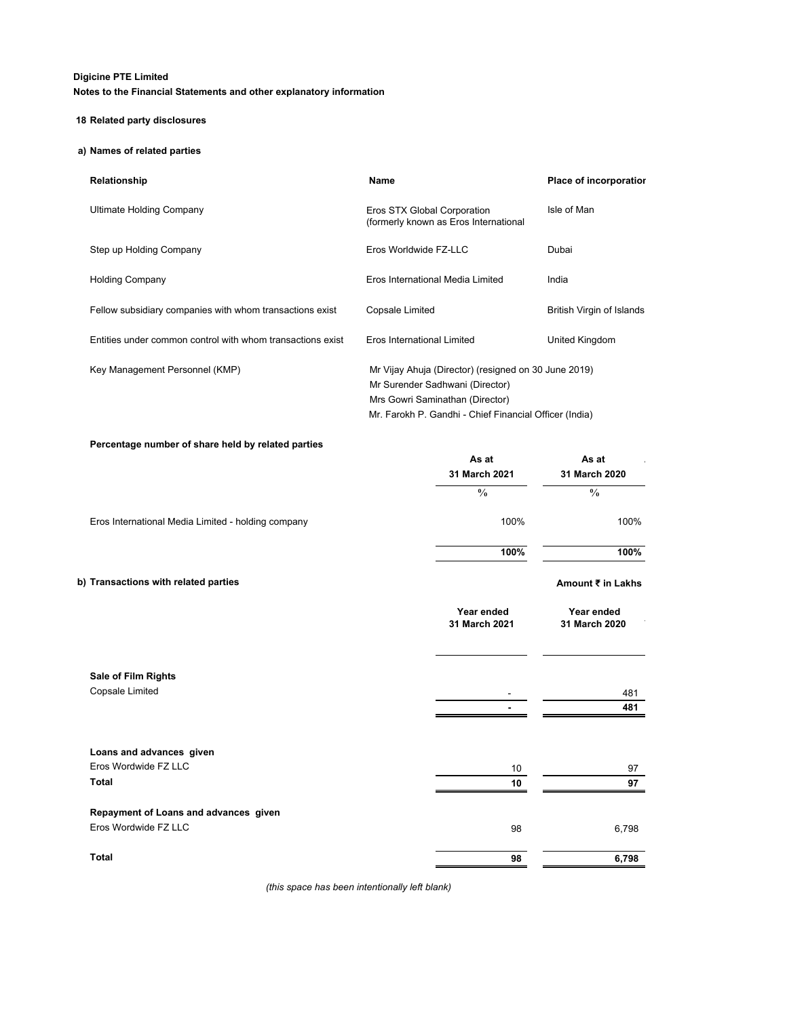# **18 Related party disclosures**

# **a) Names of related parties**

| Relationship                                               | Name                                                                                                                                                                                 | <b>Place of incorporation</b> |
|------------------------------------------------------------|--------------------------------------------------------------------------------------------------------------------------------------------------------------------------------------|-------------------------------|
| Ultimate Holding Company                                   | Eros STX Global Corporation<br>(formerly known as Eros International                                                                                                                 | Isle of Man                   |
| Step up Holding Company                                    | Eros Worldwide FZ-LLC                                                                                                                                                                | Dubai                         |
| <b>Holding Company</b>                                     | Eros International Media Limited                                                                                                                                                     | India                         |
| Fellow subsidiary companies with whom transactions exist   | Copsale Limited                                                                                                                                                                      | British Virgin of Islands     |
| Entities under common control with whom transactions exist | Eros International Limited                                                                                                                                                           | United Kingdom                |
| Key Management Personnel (KMP)                             | Mr Vijay Ahuja (Director) (resigned on 30 June 2019)<br>Mr Surender Sadhwani (Director)<br>Mrs Gowri Saminathan (Director)<br>Mr. Farokh P. Gandhi - Chief Financial Officer (India) |                               |

# **Percentage number of share held by related parties**

|                                                    | As at                       | As at<br>31 March 2020<br>$\frac{0}{0}$ |
|----------------------------------------------------|-----------------------------|-----------------------------------------|
|                                                    | 31 March 2021               |                                         |
|                                                    | $\frac{0}{0}$               |                                         |
| Eros International Media Limited - holding company | 100%                        | 100%                                    |
|                                                    | 100%                        | 100%                                    |
| b) Transactions with related parties               |                             | Amount ₹ in Lakhs                       |
|                                                    | Year ended<br>31 March 2021 | Year ended<br>31 March 2020             |
| Sale of Film Rights                                |                             |                                         |
| Copsale Limited                                    |                             | 481                                     |
|                                                    |                             | 481                                     |
| Loans and advances given                           |                             |                                         |
| Eros Wordwide FZ LLC                               | 10                          | 97                                      |
| <b>Total</b>                                       | 10                          | 97                                      |
| Repayment of Loans and advances given              |                             |                                         |
| Eros Wordwide FZ LLC                               | 98                          | 6,798                                   |
| <b>Total</b>                                       | 98                          | 6,798                                   |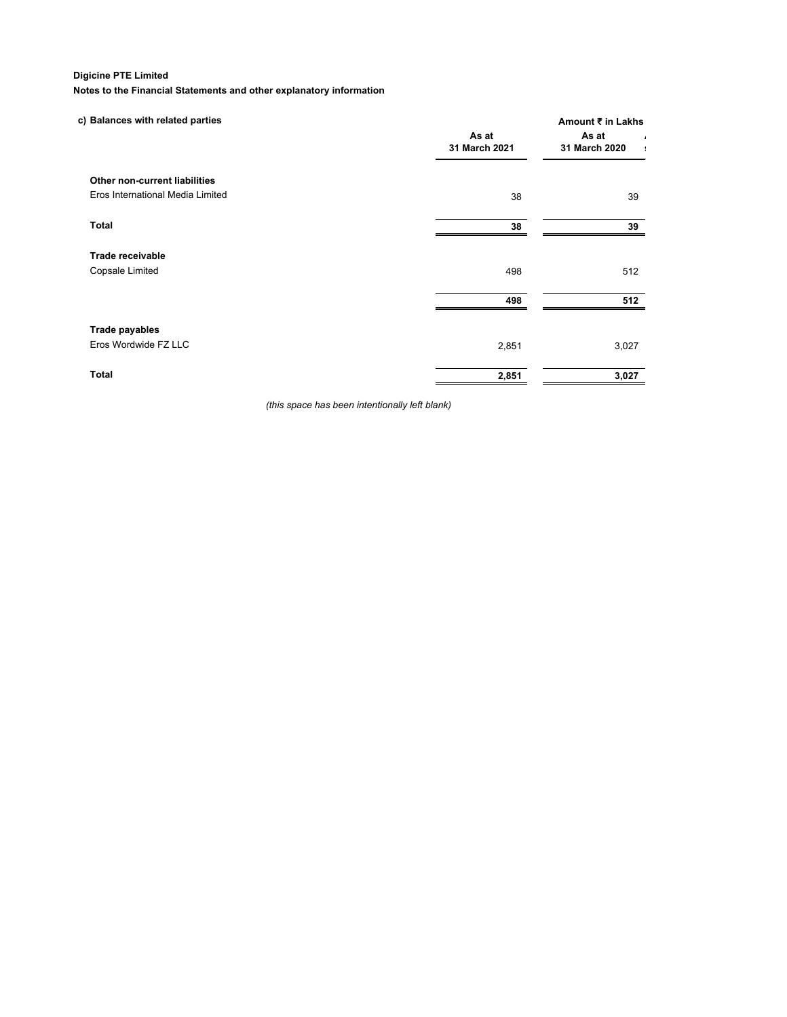# **Digicine PTE Limited**

**Notes to the Financial Statements and other explanatory information**

| c) Balances with related parties | As at<br>31 March 2021 | Amount ₹ in Lakhs<br>As at<br>$\overline{1}$<br>31 March 2020<br>$\blacksquare$ |
|----------------------------------|------------------------|---------------------------------------------------------------------------------|
| Other non-current liabilities    |                        |                                                                                 |
| Eros International Media Limited | 38                     | 39                                                                              |
| <b>Total</b>                     | 38                     | 39                                                                              |
| Trade receivable                 |                        |                                                                                 |
| Copsale Limited                  | 498                    | 512                                                                             |
|                                  | 498                    | 512                                                                             |
| Trade payables                   |                        |                                                                                 |
| Eros Wordwide FZ LLC             | 2,851                  | 3,027                                                                           |
| <b>Total</b>                     | 2,851                  | 3,027                                                                           |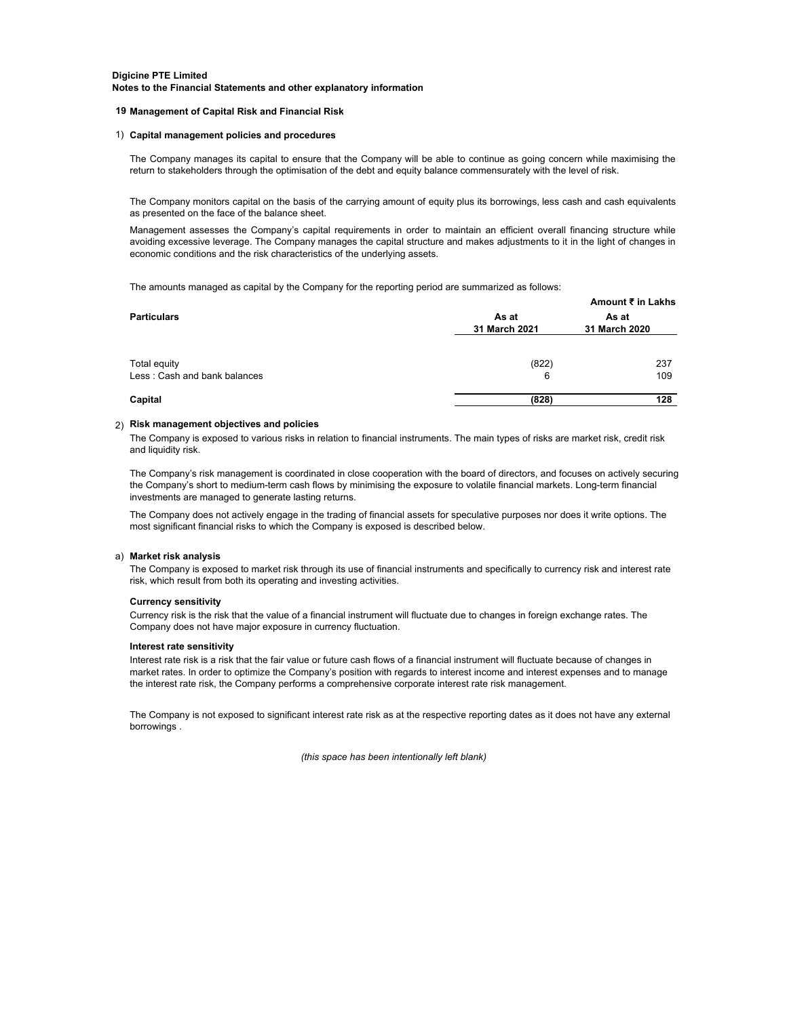#### **19 Management of Capital Risk and Financial Risk**

#### 1) **Capital management policies and procedures**

The Company manages its capital to ensure that the Company will be able to continue as going concern while maximising the return to stakeholders through the optimisation of the debt and equity balance commensurately with the level of risk.

The Company monitors capital on the basis of the carrying amount of equity plus its borrowings, less cash and cash equivalents as presented on the face of the balance sheet.

Management assesses the Company's capital requirements in order to maintain an efficient overall financing structure while avoiding excessive leverage. The Company manages the capital structure and makes adjustments to it in the light of changes in economic conditions and the risk characteristics of the underlying assets.

The amounts managed as capital by the Company for the reporting period are summarized as follows:

|                                              |                        | Amount ₹ in Lakhs      |  |
|----------------------------------------------|------------------------|------------------------|--|
| <b>Particulars</b>                           | As at<br>31 March 2021 | As at<br>31 March 2020 |  |
| Total equity<br>Less: Cash and bank balances | (822)<br>6             | 237<br>109             |  |
| Capital                                      | (828)                  | 128                    |  |

# 2) **Risk management objectives and policies**

The Company is exposed to various risks in relation to financial instruments. The main types of risks are market risk, credit risk and liquidity risk.

The Company's risk management is coordinated in close cooperation with the board of directors, and focuses on actively securing the Company's short to medium-term cash flows by minimising the exposure to volatile financial markets. Long-term financial investments are managed to generate lasting returns.

The Company does not actively engage in the trading of financial assets for speculative purposes nor does it write options. The most significant financial risks to which the Company is exposed is described below.

#### a) **Market risk analysis**

The Company is exposed to market risk through its use of financial instruments and specifically to currency risk and interest rate risk, which result from both its operating and investing activities.

#### **Currency sensitivity**

Currency risk is the risk that the value of a financial instrument will fluctuate due to changes in foreign exchange rates. The Company does not have major exposure in currency fluctuation.

#### **Interest rate sensitivity**

Interest rate risk is a risk that the fair value or future cash flows of a financial instrument will fluctuate because of changes in market rates. In order to optimize the Company's position with regards to interest income and interest expenses and to manage the interest rate risk, the Company performs a comprehensive corporate interest rate risk management.

The Company is not exposed to significant interest rate risk as at the respective reporting dates as it does not have any external borrowings .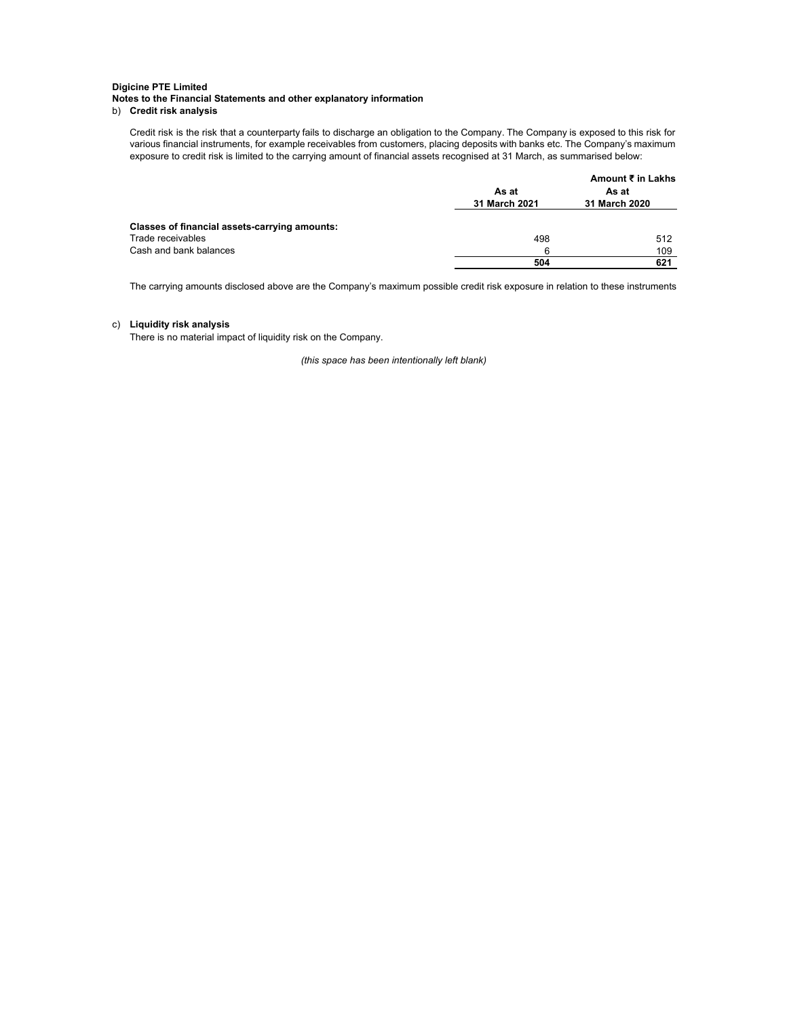# b) **Credit risk analysis**

Credit risk is the risk that a counterparty fails to discharge an obligation to the Company. The Company is exposed to this risk for various financial instruments, for example receivables from customers, placing deposits with banks etc. The Company's maximum exposure to credit risk is limited to the carrying amount of financial assets recognised at 31 March, as summarised below:

|                                               | As at<br>31 March 2021 | Amount ₹ in Lakhs<br>As at<br>31 March 2020 |
|-----------------------------------------------|------------------------|---------------------------------------------|
| Classes of financial assets-carrying amounts: |                        |                                             |
| Trade receivables                             | 498                    | 512                                         |
| Cash and bank balances                        | 6                      | 109                                         |
|                                               | 504                    | 621                                         |

The carrying amounts disclosed above are the Company's maximum possible credit risk exposure in relation to these instruments

# c) **Liquidity risk analysis**

There is no material impact of liquidity risk on the Company.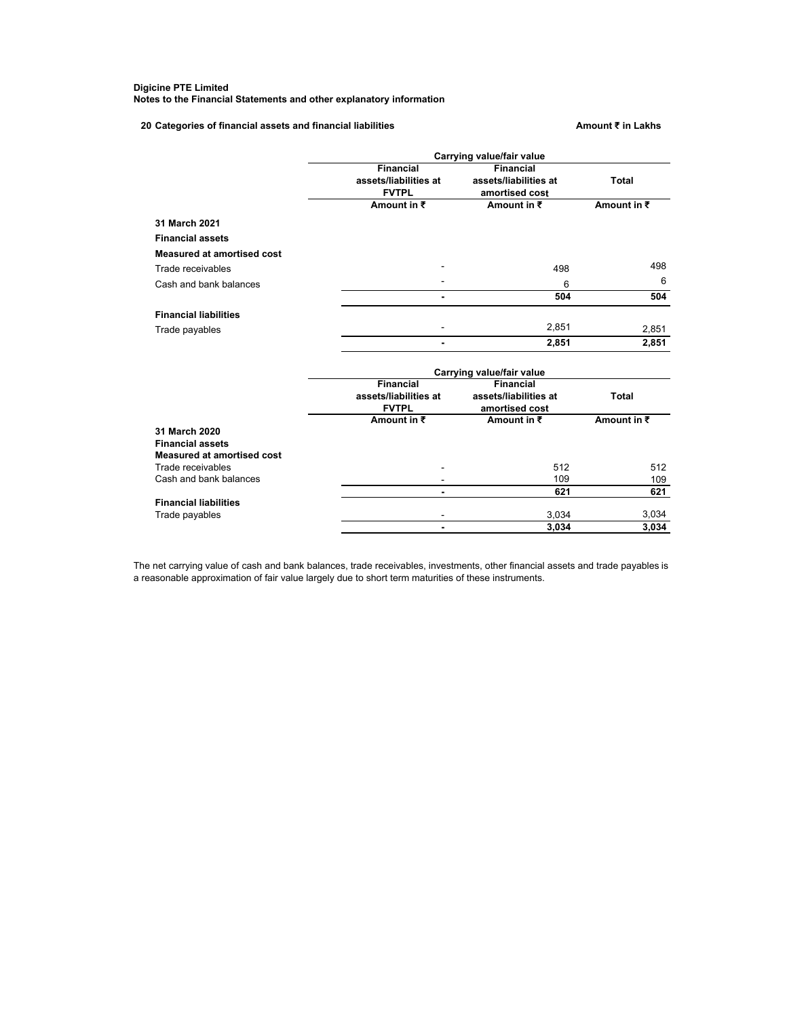**20 Categories of financial assets and financial liabilities Amount ₹ in Lakhs**

|                              |                          | Carrying value/fair value |                     |
|------------------------------|--------------------------|---------------------------|---------------------|
|                              | <b>Financial</b>         | <b>Financial</b>          |                     |
|                              | assets/liabilities at    | assets/liabilities at     | <b>Total</b>        |
|                              | <b>FVTPL</b>             | amortised cost            |                     |
|                              | Amount in $\bar{z}$      | Amount in $\bar{z}$       | Amount in $\bar{z}$ |
| 31 March 2021                |                          |                           |                     |
| <b>Financial assets</b>      |                          |                           |                     |
| Measured at amortised cost   |                          |                           |                     |
| Trade receivables            |                          | 498                       | 498                 |
| Cash and bank balances       |                          | 6                         | 6                   |
|                              | $\blacksquare$           | 504                       | 504                 |
| <b>Financial liabilities</b> |                          |                           |                     |
| Trade payables               |                          | 2,851                     | 2,851               |
|                              |                          | 2,851                     | 2,851               |
|                              |                          | Carrying value/fair value |                     |
|                              | <b>Financial</b>         | <b>Financial</b>          |                     |
|                              | assets/liabilities at    | assets/liabilities at     | Total               |
|                              | <b>FVTPL</b>             | amortised cost            |                     |
|                              | Amount in $\bar{z}$      | Amount in $\bar{z}$       | Amount in $\bar{z}$ |
| 31 March 2020                |                          |                           |                     |
| <b>Financial assets</b>      |                          |                           |                     |
| Measured at amortised cost   |                          |                           |                     |
| Trade receivables            |                          | 512                       | 512                 |
| Cash and bank balances       |                          | 109                       | 109                 |
|                              | $\overline{\phantom{0}}$ | 621                       | 621                 |
| <b>Financial liabilities</b> |                          |                           |                     |
| Trade payables               |                          | 3,034                     | 3,034               |
|                              | $\overline{\phantom{0}}$ | 3.034                     | 3,034               |

The net carrying value of cash and bank balances, trade receivables, investments, other financial assets and trade payables is a reasonable approximation of fair value largely due to short term maturities of these instruments.